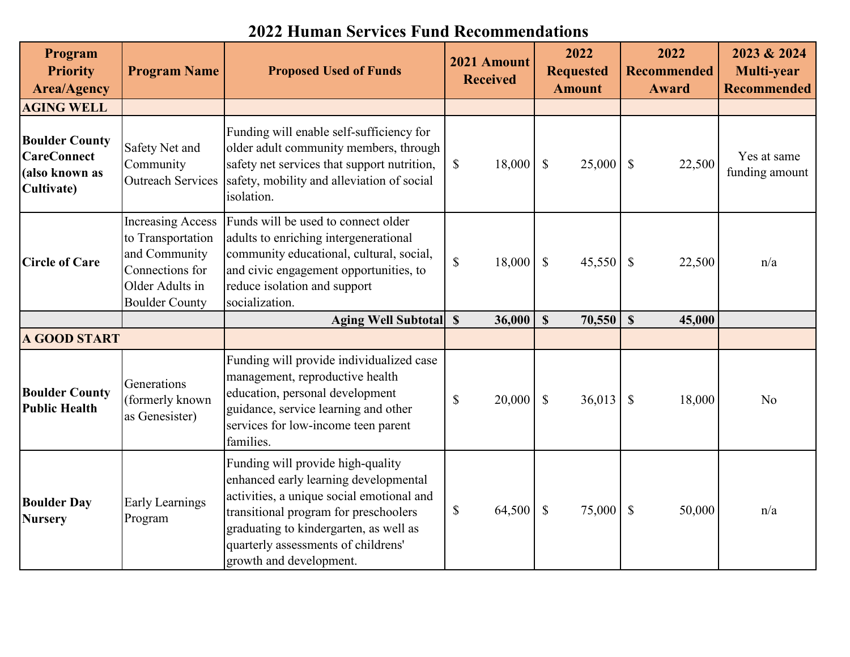| Program<br><b>Priority</b><br><b>Area/Agency</b>                            | <b>Program Name</b>                                                                                                           | <b>Proposed Used of Funds</b>                                                                                                                                                                                                                                                |                           | 2021 Amount<br><b>Received</b> | 2022<br><b>Requested</b><br><b>Amount</b> |                           | 2022<br><b>Recommended</b><br>Award | 2023 & 2024<br>Multi-year<br><b>Recommended</b> |
|-----------------------------------------------------------------------------|-------------------------------------------------------------------------------------------------------------------------------|------------------------------------------------------------------------------------------------------------------------------------------------------------------------------------------------------------------------------------------------------------------------------|---------------------------|--------------------------------|-------------------------------------------|---------------------------|-------------------------------------|-------------------------------------------------|
| <b>AGING WELL</b>                                                           |                                                                                                                               |                                                                                                                                                                                                                                                                              |                           |                                |                                           |                           |                                     |                                                 |
| <b>Boulder County</b><br><b>CareConnect</b><br>(also known as<br>Cultivate) | Safety Net and<br>Community<br><b>Outreach Services</b>                                                                       | Funding will enable self-sufficiency for<br>older adult community members, through<br>safety net services that support nutrition,<br>safety, mobility and alleviation of social<br>isolation.                                                                                | $\boldsymbol{\mathsf{S}}$ | 18,000                         | $\boldsymbol{\mathsf{S}}$<br>25,000       | $\mathbb{S}$              | 22,500                              | Yes at same<br>funding amount                   |
| <b>Circle of Care</b>                                                       | <b>Increasing Access</b><br>to Transportation<br>and Community<br>Connections for<br>Older Adults in<br><b>Boulder County</b> | Funds will be used to connect older<br>adults to enriching intergenerational<br>community educational, cultural, social,<br>and civic engagement opportunities, to<br>reduce isolation and support<br>socialization.                                                         | $\boldsymbol{\mathsf{S}}$ | 18,000                         | $\boldsymbol{\mathsf{S}}$<br>45,550       | $\boldsymbol{\mathsf{S}}$ | 22,500                              | n/a                                             |
|                                                                             |                                                                                                                               | Aging Well Subtotal \\$                                                                                                                                                                                                                                                      |                           | 36,000                         | $\mathbf S$<br>70,550                     | $\mathbf S$               | 45,000                              |                                                 |
| <b>A GOOD START</b>                                                         |                                                                                                                               |                                                                                                                                                                                                                                                                              |                           |                                |                                           |                           |                                     |                                                 |
| <b>Boulder County</b><br><b>Public Health</b>                               | Generations<br>(formerly known<br>as Genesister)                                                                              | Funding will provide individualized case<br>management, reproductive health<br>education, personal development<br>guidance, service learning and other<br>services for low-income teen parent<br>families.                                                                   | $\mathcal{S}$             | 20,000                         | $\mathcal{S}$<br>36,013                   | $\mathcal{S}$             | 18,000                              | N <sub>o</sub>                                  |
| <b>Boulder Day</b><br><b>Nursery</b>                                        | <b>Early Learnings</b><br>Program                                                                                             | Funding will provide high-quality<br>enhanced early learning developmental<br>activities, a unique social emotional and<br>transitional program for preschoolers<br>graduating to kindergarten, as well as<br>quarterly assessments of childrens'<br>growth and development. | $\mathbb{S}$              | 64,500                         | $\mathbb{S}$<br>75,000                    | $\mathcal{S}$             | 50,000                              | n/a                                             |

## **2022 Human Services Fund Recommendations**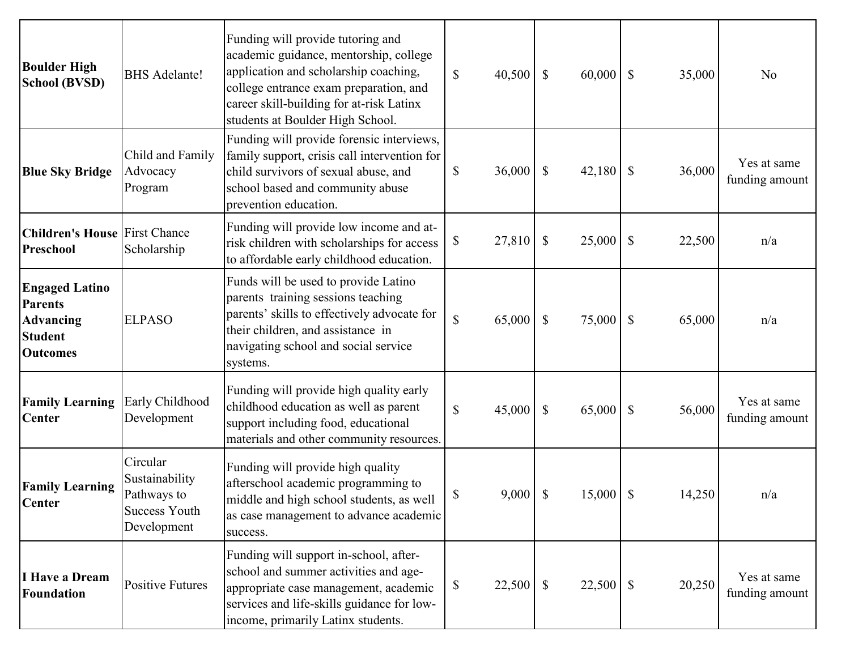| <b>Boulder High</b><br><b>School (BVSD)</b>                                                      | <b>BHS</b> Adelante!                                                             | Funding will provide tutoring and<br>academic guidance, mentorship, college<br>application and scholarship coaching,<br>college entrance exam preparation, and<br>career skill-building for at-risk Latinx<br>students at Boulder High School. | $\mathbb{S}$ | 40,500     | $\boldsymbol{\mathsf{S}}$ | 60,000      | $\mathcal{S}$             | 35,000 | N <sub>o</sub>                |
|--------------------------------------------------------------------------------------------------|----------------------------------------------------------------------------------|------------------------------------------------------------------------------------------------------------------------------------------------------------------------------------------------------------------------------------------------|--------------|------------|---------------------------|-------------|---------------------------|--------|-------------------------------|
| <b>Blue Sky Bridge</b>                                                                           | Child and Family<br>Advocacy<br>Program                                          | Funding will provide forensic interviews,<br>family support, crisis call intervention for<br>child survivors of sexual abuse, and<br>school based and community abuse<br>prevention education.                                                 | \$           | 36,000     | $\boldsymbol{\mathsf{S}}$ | 42,180      | $\mathcal{S}$             | 36,000 | Yes at same<br>funding amount |
| <b>Children's House First Chance</b><br>Preschool                                                | Scholarship                                                                      | Funding will provide low income and at-<br>risk children with scholarships for access<br>to affordable early childhood education.                                                                                                              | \$           | 27,810     | $\boldsymbol{\mathsf{S}}$ | 25,000      | $\boldsymbol{\mathsf{S}}$ | 22,500 | n/a                           |
| <b>Engaged Latino</b><br><b>Parents</b><br><b>Advancing</b><br><b>Student</b><br><b>Outcomes</b> | <b>ELPASO</b>                                                                    | Funds will be used to provide Latino<br>parents training sessions teaching<br>parents' skills to effectively advocate for<br>their children, and assistance in<br>navigating school and social service<br>systems.                             | \$           | 65,000     | $\boldsymbol{\mathsf{S}}$ | 75,000      | $\mathcal{S}$             | 65,000 | n/a                           |
| <b>Family Learning</b><br><b>Center</b>                                                          | Early Childhood<br>Development                                                   | Funding will provide high quality early<br>childhood education as well as parent<br>support including food, educational<br>materials and other community resources.                                                                            | \$           | 45,000     | $\boldsymbol{\mathsf{S}}$ | 65,000      | $\mathcal{S}$             | 56,000 | Yes at same<br>funding amount |
| <b>Family Learning</b><br><b>Center</b>                                                          | Circular<br>Sustainability<br>Pathways to<br><b>Success Youth</b><br>Development | Funding will provide high quality<br>afterschool academic programming to<br>middle and high school students, as well<br>as case management to advance academic<br>success.                                                                     | \$           | $9,000$ \$ |                           | $15,000$ \$ |                           | 14,250 | n/a                           |
| I Have a Dream<br><b>Foundation</b>                                                              | <b>Positive Futures</b>                                                          | Funding will support in-school, after-<br>school and summer activities and age-<br>appropriate case management, academic<br>services and life-skills guidance for low-<br>income, primarily Latinx students.                                   | \$           | 22,500     | $\mathcal{S}$             | $22,500$ \$ |                           | 20,250 | Yes at same<br>funding amount |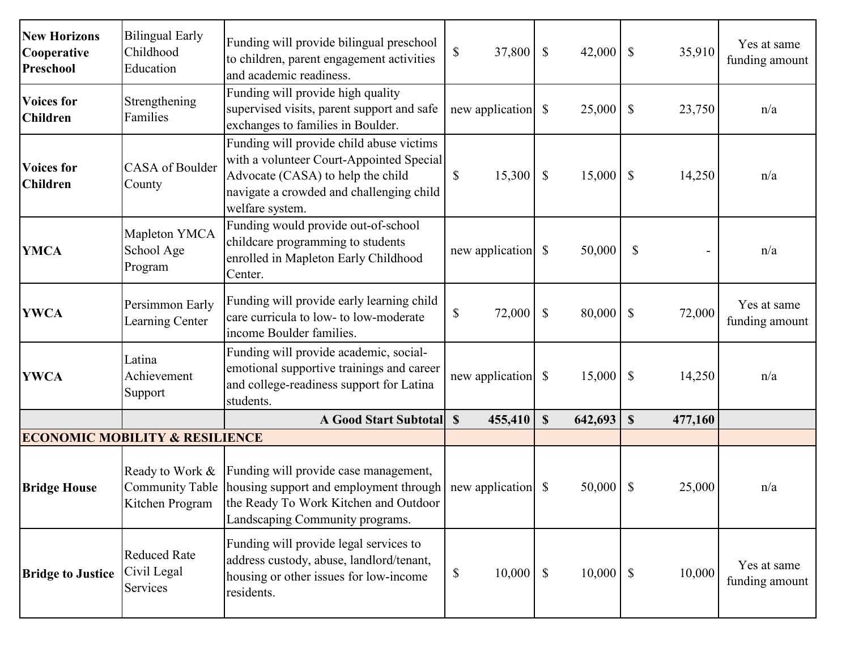| <b>New Horizons</b><br><b>Cooperative</b><br>Preschool | <b>Bilingual Early</b><br>Childhood<br>Education | Funding will provide bilingual preschool<br>to children, parent engagement activities<br>and academic readiness.                                                                                     | $\mathbb{S}$<br>37,800 | $\boldsymbol{\mathsf{S}}$ | 42,000      | $\mathbb{S}$              | 35,910  | Yes at same<br>funding amount |
|--------------------------------------------------------|--------------------------------------------------|------------------------------------------------------------------------------------------------------------------------------------------------------------------------------------------------------|------------------------|---------------------------|-------------|---------------------------|---------|-------------------------------|
| <b>Voices for</b><br><b>Children</b>                   | Strengthening<br>Families                        | Funding will provide high quality<br>supervised visits, parent support and safe<br>exchanges to families in Boulder.                                                                                 |                        |                           | 25,000      | $\boldsymbol{\mathsf{S}}$ | 23,750  | n/a                           |
| <b>Voices for</b><br><b>Children</b>                   | <b>CASA</b> of Boulder<br>County                 | Funding will provide child abuse victims<br>with a volunteer Court-Appointed Special<br>Advocate (CASA) to help the child<br>navigate a crowded and challenging child<br>welfare system.             | \$<br>15,300           | $\boldsymbol{\mathsf{S}}$ | 15,000      | $\mathcal{S}$             | 14,250  | n/a                           |
| <b>YMCA</b>                                            | Mapleton YMCA<br>School Age<br>Program           | Funding would provide out-of-school<br>childcare programming to students<br>enrolled in Mapleton Early Childhood<br>Center.                                                                          | new application        | $\mathcal{S}$             | 50,000      | $\mathcal{S}$             |         | n/a                           |
| <b>YWCA</b>                                            | Persimmon Early<br>Learning Center               | Funding will provide early learning child<br>care curricula to low- to low-moderate<br>income Boulder families.                                                                                      | \$<br>72,000           | $\mathcal{S}$             | 80,000      | $\boldsymbol{\mathsf{S}}$ | 72,000  | Yes at same<br>funding amount |
| <b>YWCA</b>                                            | Latina<br>Achievement<br>Support                 | Funding will provide academic, social-<br>emotional supportive trainings and career<br>and college-readiness support for Latina<br>students.                                                         |                        |                           | 15,000      | $\boldsymbol{\mathsf{S}}$ | 14,250  | n/a                           |
|                                                        |                                                  | <b>A Good Start Subtotal</b>                                                                                                                                                                         | $\mathbf S$<br>455,410 | $\boldsymbol{\mathsf{S}}$ | 642,693     | $\mathbf S$               | 477,160 |                               |
|                                                        | <b>ECONOMIC MOBILITY &amp; RESILIENCE</b>        |                                                                                                                                                                                                      |                        |                           |             |                           |         |                               |
| <b>Bridge House</b>                                    | Ready to Work &<br>Kitchen Program               | Funding will provide case management,<br>Community Table   housing support and employment through   new application   \$<br>the Ready To Work Kitchen and Outdoor<br>Landscaping Community programs. |                        |                           | 50,000      | $\boldsymbol{\mathsf{S}}$ | 25,000  | n/a                           |
| <b>Bridge to Justice</b>                               | <b>Reduced Rate</b><br>Civil Legal<br>Services   | Funding will provide legal services to<br>address custody, abuse, landlord/tenant,<br>housing or other issues for low-income<br>residents.                                                           | 10,000<br>\$           | $\mathbb{S}$              | $10,000$ \$ |                           | 10,000  | Yes at same<br>funding amount |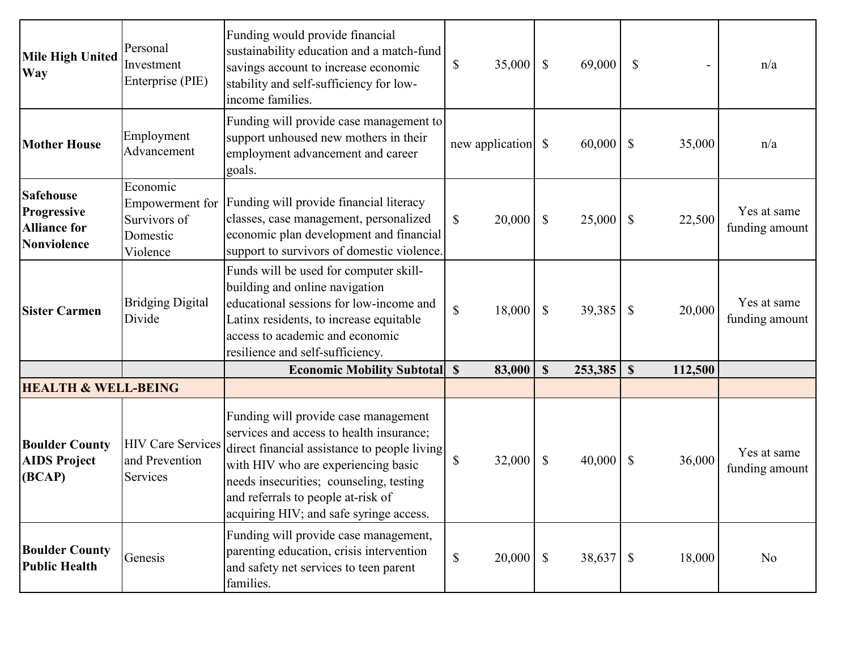| <b>Mile High United</b><br><b>Way</b>                                 | Personal<br>Investment<br>Enterprise (PIE)                          | Funding would provide financial<br>sustainability education and a match-fund<br>savings account to increase economic<br>stability and self-sufficiency for low-<br>income families.                                                                                                                 | $\boldsymbol{\mathsf{S}}$ | 35,000          | $\mathbb{S}$              | 69,000  | $\mathbb{S}$              |         | n/a                           |
|-----------------------------------------------------------------------|---------------------------------------------------------------------|-----------------------------------------------------------------------------------------------------------------------------------------------------------------------------------------------------------------------------------------------------------------------------------------------------|---------------------------|-----------------|---------------------------|---------|---------------------------|---------|-------------------------------|
| <b>Mother House</b>                                                   | Employment<br>Advancement                                           | Funding will provide case management to<br>support unhoused new mothers in their<br>employment advancement and career<br>goals.                                                                                                                                                                     |                           | new application | $\mathbb{S}$              | 60,000  | $\mathbb{S}$              | 35,000  | n/a                           |
| <b>Safehouse</b><br>Progressive<br><b>Alliance for</b><br>Nonviolence | Economic<br>Empowerment for<br>Survivors of<br>Domestic<br>Violence | Funding will provide financial literacy<br>classes, case management, personalized<br>economic plan development and financial<br>support to survivors of domestic violence.                                                                                                                          | $\mathbb{S}$              | 20,000          | $\boldsymbol{\mathsf{S}}$ | 25,000  | $\boldsymbol{\mathsf{S}}$ | 22,500  | Yes at same<br>funding amount |
| <b>Sister Carmen</b>                                                  | <b>Bridging Digital</b><br>Divide                                   | Funds will be used for computer skill-<br>building and online navigation<br>educational sessions for low-income and<br>Latinx residents, to increase equitable<br>access to academic and economic<br>resilience and self-sufficiency.                                                               | $\mathbb{S}$              | 18,000          | $\mathbb{S}$              | 39,385  | $\mathbb{S}$              | 20,000  | Yes at same<br>funding amount |
|                                                                       |                                                                     | <b>Economic Mobility Subtotal S</b>                                                                                                                                                                                                                                                                 |                           | 83,000          | $\mathbf S$               | 253,385 | $\boldsymbol{\mathsf{S}}$ | 112,500 |                               |
| <b>HEALTH &amp; WELL-BEING</b>                                        |                                                                     |                                                                                                                                                                                                                                                                                                     |                           |                 |                           |         |                           |         |                               |
| <b>Boulder County</b><br><b>AIDS Project</b><br>(BCAP)                | <b>HIV Care Services</b><br>and Prevention<br>Services              | Funding will provide case management<br>services and access to health insurance;<br>direct financial assistance to people living<br>with HIV who are experiencing basic<br>needs insecurities; counseling, testing<br>and referrals to people at-risk of<br>acquiring HIV; and safe syringe access. | $\mathbb{S}$              | 32,000          | $\mathbb{S}$              | 40,000  | $\boldsymbol{\mathsf{S}}$ | 36,000  | Yes at same<br>funding amount |
| <b>Boulder County</b><br><b>Public Health</b>                         | Genesis                                                             | Funding will provide case management,<br>parenting education, crisis intervention<br>and safety net services to teen parent<br>families.                                                                                                                                                            | $\mathbb{S}$              | 20,000          | $\mathcal{S}$             | 38,637  | $\sqrt{\ }$               | 18,000  | No                            |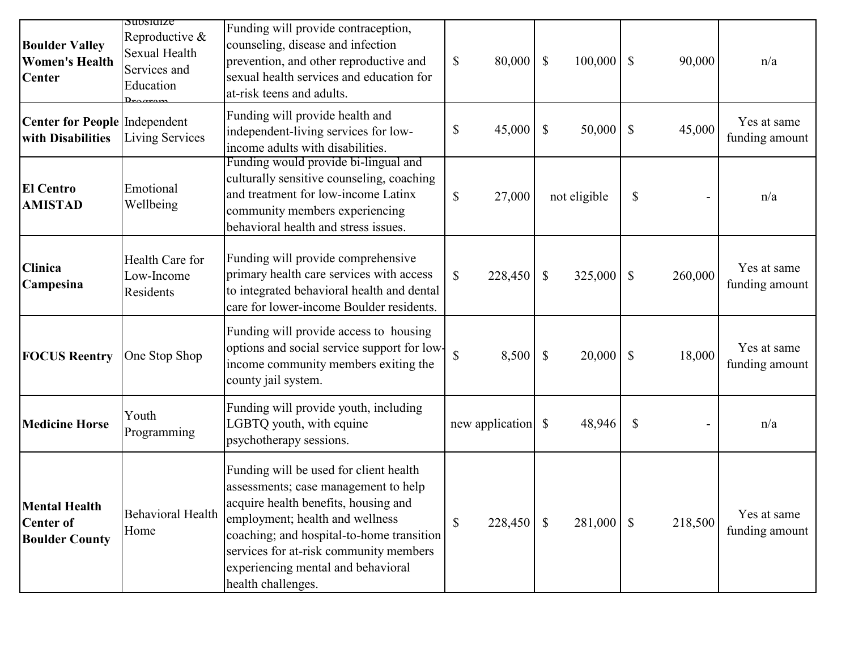| <b>Boulder Valley</b><br><b>Women's Health</b><br><b>Center</b>   | Suusiulze<br>Reproductive &<br>Sexual Health<br>Services and<br>Education | Funding will provide contraception,<br>counseling, disease and infection<br>prevention, and other reproductive and<br>sexual health services and education for<br>at-risk teens and adults.                                                                                                                  | $\mathbb{S}$ | 80,000  | $\mathcal{S}$<br>100,000             | $\mathbb{S}$              | 90,000  | n/a                           |
|-------------------------------------------------------------------|---------------------------------------------------------------------------|--------------------------------------------------------------------------------------------------------------------------------------------------------------------------------------------------------------------------------------------------------------------------------------------------------------|--------------|---------|--------------------------------------|---------------------------|---------|-------------------------------|
| Center for People Independent<br>with Disabilities                | <b>Living Services</b>                                                    | Funding will provide health and<br>independent-living services for low-<br>income adults with disabilities.                                                                                                                                                                                                  | \$           | 45,000  | 50,000<br>$\mathcal{S}$              | $\mathbb{S}$              | 45,000  | Yes at same<br>funding amount |
| <b>El Centro</b><br><b>AMISTAD</b>                                | Emotional<br>Wellbeing                                                    | Funding would provide bi-lingual and<br>culturally sensitive counseling, coaching<br>and treatment for low-income Latinx<br>community members experiencing<br>behavioral health and stress issues.                                                                                                           | $\mathbb{S}$ | 27,000  | not eligible                         | $\mathbb{S}$              |         | n/a                           |
| <b>Clinica</b><br>Campesina                                       | Health Care for<br>Low-Income<br>Residents                                | Funding will provide comprehensive<br>primary health care services with access<br>to integrated behavioral health and dental<br>care for lower-income Boulder residents.                                                                                                                                     | \$           | 228,450 | $\boldsymbol{\mathsf{S}}$<br>325,000 | $\boldsymbol{\mathsf{S}}$ | 260,000 | Yes at same<br>funding amount |
| <b>FOCUS Reentry</b>                                              | One Stop Shop                                                             | Funding will provide access to housing<br>options and social service support for low-<br>income community members exiting the<br>county jail system.                                                                                                                                                         | $\mathbb{S}$ | 8,500   | $\mathbb{S}$<br>20,000               | $\mathbb{S}$              | 18,000  | Yes at same<br>funding amount |
| <b>Medicine Horse</b>                                             | Youth<br>Programming                                                      | Funding will provide youth, including<br>LGBTQ youth, with equine<br>psychotherapy sessions.                                                                                                                                                                                                                 |              |         | 48,946                               | $\boldsymbol{\mathsf{S}}$ |         | n/a                           |
| <b>Mental Health</b><br><b>Center of</b><br><b>Boulder County</b> | <b>Behavioral Health</b><br>Home                                          | Funding will be used for client health<br>assessments; case management to help<br>acquire health benefits, housing and<br>employment; health and wellness<br>coaching; and hospital-to-home transition<br>services for at-risk community members<br>experiencing mental and behavioral<br>health challenges. | \$           | 228,450 | 281,000<br>$\mathcal{S}$             | $\mathcal{S}$             | 218,500 | Yes at same<br>funding amount |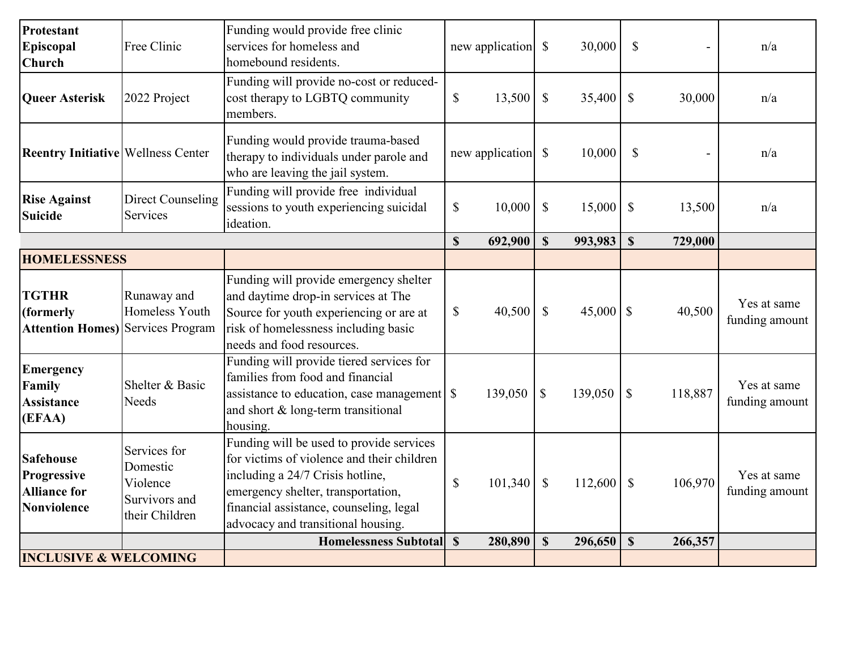| Protestant<br>Episcopal<br>Church                                            | Free Clinic                                                             | Funding would provide free clinic<br>services for homeless and<br>homebound residents.                                                                                                                                                            |                           | new application | $\mathcal{S}$             | 30,000  | $\mathbb{S}$              |         | n/a                           |
|------------------------------------------------------------------------------|-------------------------------------------------------------------------|---------------------------------------------------------------------------------------------------------------------------------------------------------------------------------------------------------------------------------------------------|---------------------------|-----------------|---------------------------|---------|---------------------------|---------|-------------------------------|
| <b>Queer Asterisk</b>                                                        | 2022 Project                                                            | Funding will provide no-cost or reduced-<br>cost therapy to LGBTQ community<br>members.                                                                                                                                                           | $\boldsymbol{\mathsf{S}}$ | 13,500          | $\boldsymbol{\mathsf{S}}$ | 35,400  | $\boldsymbol{\mathsf{S}}$ | 30,000  | n/a                           |
| <b>Reentry Initiative Wellness Center</b>                                    |                                                                         | Funding would provide trauma-based<br>therapy to individuals under parole and<br>who are leaving the jail system.                                                                                                                                 |                           | new application | $\boldsymbol{\mathsf{S}}$ | 10,000  | $\mathbb{S}$              |         | n/a                           |
| <b>Rise Against</b><br><b>Suicide</b>                                        | Direct Counseling<br>Services                                           | Funding will provide free individual<br>sessions to youth experiencing suicidal<br>ideation.                                                                                                                                                      | \$                        | 10,000          | $\mathcal{S}$             | 15,000  | $\boldsymbol{\mathsf{S}}$ | 13,500  | n/a                           |
|                                                                              |                                                                         |                                                                                                                                                                                                                                                   | $\mathbf S$               | 692,900         | $\boldsymbol{\mathsf{S}}$ | 993,983 | $\mathbf S$               | 729,000 |                               |
| <b>HOMELESSNESS</b>                                                          |                                                                         |                                                                                                                                                                                                                                                   |                           |                 |                           |         |                           |         |                               |
| <b>TGTHR</b><br>(formerly<br><b>Attention Homes)</b> Services Program        | Runaway and<br>Homeless Youth                                           | Funding will provide emergency shelter<br>and daytime drop-in services at The<br>Source for youth experiencing or are at<br>risk of homelessness including basic<br>needs and food resources.                                                     | $\mathcal{S}$             | 40,500          | $\mathbb{S}$              |         |                           | 40,500  | Yes at same<br>funding amount |
| <b>Emergency</b><br>Family<br><b>Assistance</b><br>(EFAA)                    | Shelter & Basic<br>Needs                                                | Funding will provide tiered services for<br>families from food and financial<br>assistance to education, case management   \$<br>and short & long-term transitional<br>housing.                                                                   |                           | 139,050         | $\mathcal{S}$             | 139,050 | $\mathbb{S}$              | 118,887 | Yes at same<br>funding amount |
| <b>Safehouse</b><br>Progressive<br><b>Alliance for</b><br><b>Nonviolence</b> | Services for<br>Domestic<br>Violence<br>Survivors and<br>their Children | Funding will be used to provide services<br>for victims of violence and their children<br>including a 24/7 Crisis hotline,<br>emergency shelter, transportation,<br>financial assistance, counseling, legal<br>advocacy and transitional housing. | $\boldsymbol{\mathsf{S}}$ | 101,340         | $\boldsymbol{\mathsf{S}}$ | 112,600 | $\mathcal{S}$             | 106,970 | Yes at same<br>funding amount |
|                                                                              |                                                                         | <b>Homelessness Subtotal</b>                                                                                                                                                                                                                      | $\boldsymbol{\mathsf{S}}$ | 280,890         | $\mathbf S$               | 296,650 | $\mathbf S$               | 266,357 |                               |
| <b>INCLUSIVE &amp; WELCOMING</b>                                             |                                                                         |                                                                                                                                                                                                                                                   |                           |                 |                           |         |                           |         |                               |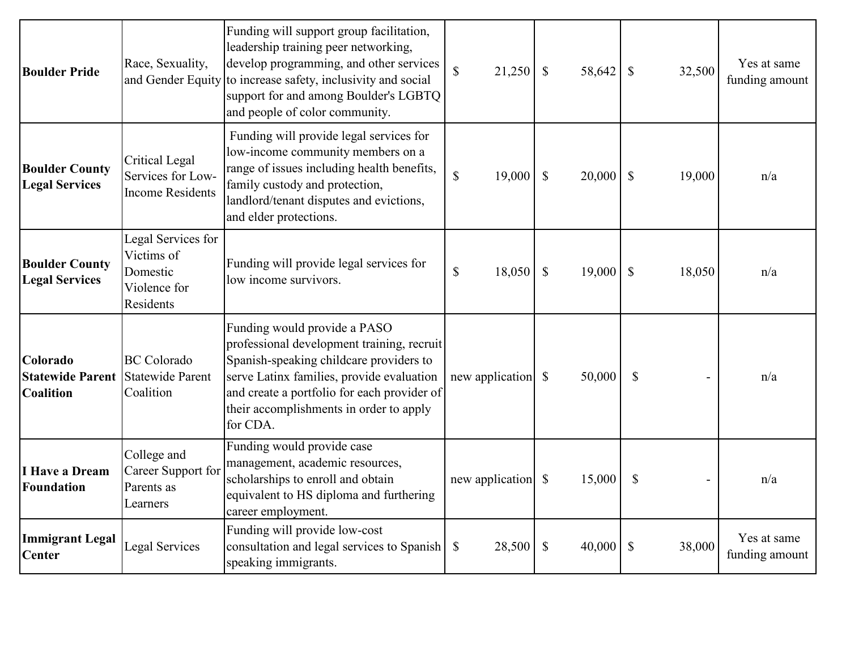| <b>Boulder Pride</b>                                    | Race, Sexuality,<br>and Gender Equity                                     | Funding will support group facilitation,<br>leadership training peer networking,<br>develop programming, and other services<br>to increase safety, inclusivity and social<br>support for and among Boulder's LGBTQ<br>and people of color community.                     | $\mathbb{S}$<br>21,250 | $\mathbb{S}$<br>58,642              | $\mathcal{S}$<br>32,500   | Yes at same<br>funding amount |
|---------------------------------------------------------|---------------------------------------------------------------------------|--------------------------------------------------------------------------------------------------------------------------------------------------------------------------------------------------------------------------------------------------------------------------|------------------------|-------------------------------------|---------------------------|-------------------------------|
| <b>Boulder County</b><br><b>Legal Services</b>          | Critical Legal<br>Services for Low-<br><b>Income Residents</b>            | Funding will provide legal services for<br>low-income community members on a<br>range of issues including health benefits,<br>family custody and protection,<br>landlord/tenant disputes and evictions,<br>and elder protections.                                        | $\mathbb{S}$<br>19,000 | $\mathbb{S}$<br>20,000              | $\mathcal{S}$<br>19,000   | n/a                           |
| <b>Boulder County</b><br><b>Legal Services</b>          | Legal Services for<br>Victims of<br>Domestic<br>Violence for<br>Residents | Funding will provide legal services for<br>low income survivors.                                                                                                                                                                                                         | $\mathbb{S}$<br>18,050 | $\boldsymbol{\mathsf{S}}$<br>19,000 | $\mathcal{S}$<br>18,050   | n/a                           |
| Colorado<br><b>Statewide Parent</b><br><b>Coalition</b> | <b>BC</b> Colorado<br><b>Statewide Parent</b><br>Coalition                | Funding would provide a PASO<br>professional development training, recruit<br>Spanish-speaking childcare providers to<br>serve Latinx families, provide evaluation<br>and create a portfolio for each provider of<br>their accomplishments in order to apply<br>for CDA. |                        | 50,000                              | $\mathbb{S}$              | n/a                           |
| I Have a Dream<br><b>Foundation</b>                     | College and<br>Career Support for<br>Parents as<br>Learners               | Funding would provide case<br>management, academic resources,<br>scholarships to enroll and obtain<br>equivalent to HS diploma and furthering<br>career employment.                                                                                                      | new application        | 15,000<br>$\mathbb{S}$              | $\boldsymbol{\mathsf{S}}$ | n/a                           |
| <b>Immigrant Legal</b><br><b>Center</b>                 | <b>Legal Services</b>                                                     | Funding will provide low-cost<br>consultation and legal services to Spanish<br>speaking immigrants.                                                                                                                                                                      | 28,500<br>$\mathbb{S}$ | $\mathbb{S}$<br>40,000              | $\mathcal{S}$<br>38,000   | Yes at same<br>funding amount |